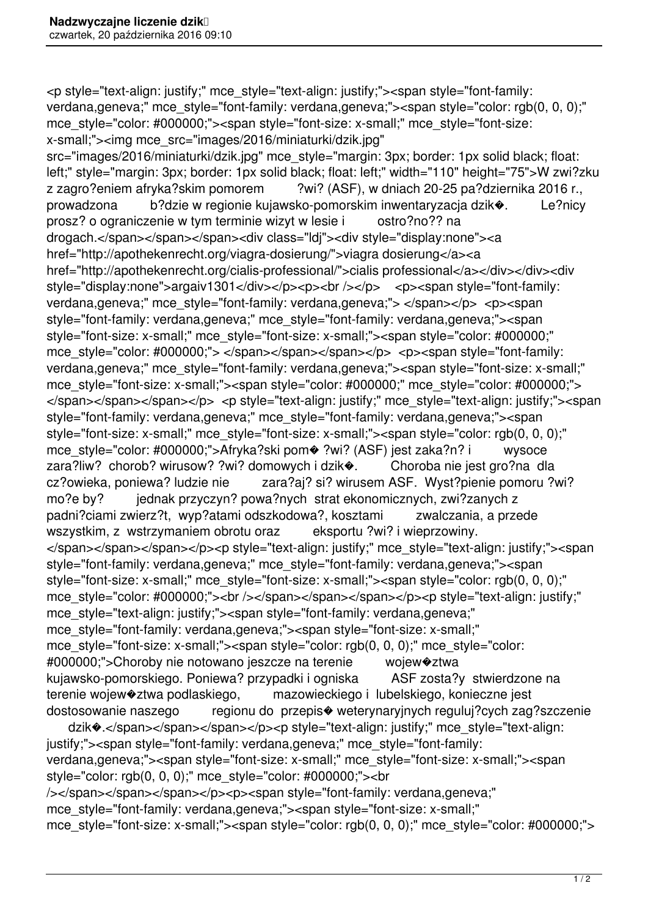<p style="text-align: justify;" mce\_style="text-align: justify;"><span style="font-family: verdana,geneva;" mce style="font-family: verdana,geneva;"><span style="color: rgb(0, 0, 0);" mce style="color: #000000;"><span style="font-size: x-small;" mce style="font-size: x-small;"><img mce\_src="images/2016/miniaturki/dzik.jpg"

src="images/2016/miniaturki/dzik.jpg" mce\_style="margin: 3px; border: 1px solid black; float: left;" style="margin: 3px; border: 1px solid black; float: left;" width="110" height="75">W zwi?zku z zagro?eniem afryka?skim pomorem ?wi? (ASF), w dniach 20-25 pa?dziernika 2016 r., prowadzona b?dzie w regionie kujawsko-pomorskim inwentaryzacja dzik�. Le?nicy prosz? o ograniczenie w tym terminie wizyt w lesie i ostro?no?? na drogach.</span></span></span><div class="ldj"><div style="display:none"><a href="http://apothekenrecht.org/viagra-dosierung/">viagra dosierung</a><a href="http://apothekenrecht.org/cialis-professional/">cialis professional</a></div></div><div style="display:none">argaiv1301</div></p><p><br /></p> <p><span style="font-family: verdana, geneva;" mce style="font-family: verdana, geneva;"> </span></p> <p><span style="font-family: verdana,geneva;" mce\_style="font-family: verdana,geneva;"><span style="font-size: x-small;" mce\_style="font-size: x-small;"><span style="color: #000000;" mce style="color: #000000;"> </span></span></span></p> <p><span style="font-family: verdana,geneva;" mce\_style="font-family: verdana,geneva;"><span style="font-size: x-small;" mce style="font-size: x-small;"><span style="color: #000000;" mce style="color: #000000;"> </span></span></span></p> <p style="text-align: justify;" mce style="text-align: justify;"><span style="font-family: verdana,geneva;" mce\_style="font-family: verdana,geneva;"><span style="font-size: x-small;" mce\_style="font-size: x-small;"><span style="color: rgb(0, 0, 0);" mce\_style="color: #000000;">Afryka?ski pom� ?wi? (ASF) jest zaka?n? i wysoce zara?liw? chorob? wirusow? ?wi? domowych i dzik $\bullet$ . Choroba nie jest gro?na dla cz?owieka, poniewa? ludzie nie zara?aj? si? wirusem ASF. Wyst?pienie pomoru ?wi? mo?e by? jednak przyczyn? powa?nych strat ekonomicznych, zwi?zanych z padni?ciami zwierz?t, wyp?atami odszkodowa?, kosztami zwalczania, a przede wszystkim, z wstrzymaniem obrotu oraz eksportu ?wi? i wieprzowiny. </span></span></span></p>>>>p style="text-align: justify;" mce style="text-align: justify;"><span style="font-family: verdana,geneva;" mce\_style="font-family: verdana,geneva;"><span style="font-size: x-small;" mce\_style="font-size: x-small;"><span style="color: rgb(0, 0, 0);" mce\_style="color: #000000;"><br />>/>></span></span></span></p>><p style="text-align: justify;" mce\_style="text-align: justify;"><span style="font-family: verdana,geneva;" mce\_style="font-family: verdana,geneva;"><span style="font-size: x-small;" mce style="font-size: x-small;"><span style="color: rgb(0, 0, 0);" mce style="color: #000000;">Choroby nie notowano jeszcze na terenie wojew�ztwa kujawsko-pomorskiego. Poniewa? przypadki i ogniska ASF zosta?y stwierdzone na terenie wojew�ztwa podlaskiego, mazowieckiego i lubelskiego, konieczne jest dostosowanie naszego regionu do przepis� weterynaryjnych reguluj?cych zag?szczenie dzik $\bullet$ .</span></span></span></p>><p style="text-align: justify;" mce style="text-align:

justify;"><span style="font-family: verdana,geneva;" mce\_style="font-family: verdana,geneva;"><span style="font-size: x-small;" mce\_style="font-size: x-small;"><span style="color: rgb(0, 0, 0);" mce\_style="color: #000000;"><br /></span></span></span></p><p><span style="font-family: verdana,geneva;" mce\_style="font-family: verdana,geneva;"><span style="font-size: x-small;"

mce style="font-size: x-small;"><span style="color: rgb(0, 0, 0);" mce style="color: #000000;">